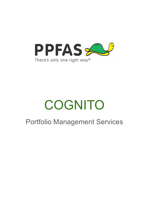

# **COGNITO**

# Portfolio Management Services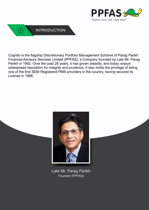



Cognito is the flagship Discretionary Portfolio Management Scheme of Parag Parikh Financial Advisory Services Limited (PPFAS), a Company founded by Late Mr. Parag Parikh in 1992. Over the past 28 years, it has grown steadily, and today, enjoys widespread reputation for integrity and prudence. It also holds the privilege of being one of the first SEBI Registered PMS providers in the country, having secured its License in 1996.



Late Mr. Parag Parikh Founder (PPFAS)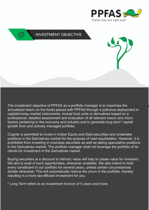



The investment objective of PPFAS as a portfolio manager is to maximize the annualized return on the funds placed with PPFAS through a judicious deployment in capital/money market instruments, mutual fund units or derivatives based on a professional, detailed assessment and evaluation of all relevant macro and micro factors pertaining to the economy and industry and to generate long term\* capital growth from and actively managed portfolio.

Cognito is permitted to invest in Indian Equity and Debt securities and undertake positions in the Derivatives market for the purpose of cash-equitisation. However, it is prohibited from investing in overseas securities as well as taking speculative positions in the Derivatives market. The portfolio manager shall not leverage the portfolio of its clients for investment in the Derivatives market.

Buying securities at a discount to intrinsic value will help to create value for investors. We aim to avail of such opportunities, whenever available. We also intend to hold every constituent in our portfolio for several years, unless certain circumstances dictate otherwise. This will automatically reduce the churn in the portfolio, thereby resulting in a more tax-efficient investment for you.

\* Long Term refers to an investment horizon of 5 years and more.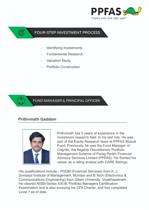

## **FOUR-STEP INVESTMENT PROCESS**

- Identifying Investments
- Fundamental Research
- **Valuation Study**
- Portfolio Construction

#### FUND MANAGER & PRINCIPAL OFFICER

# **Prithvinath Gaddam**



Prithvinath has 5 years of experience in the investment research field. In his last role, He was part of the Equity Research team at PPFAS Mutual Fund. Previously, he was the Fund Manager of Cognito, the flagship Discretionary Portfolio Management Scheme of Parag Parikh Financial Advisory Services Limited (PPFAS). He Started his career as a rating analyst with CARE Ratings.

His qualifications include - PGDM (Financial Services) from K. J. Somaiya Institute of Management, Mumbai and B.Tech (Electronics & Communications Engineering) from Gitam University, Visakhapatnam. He cleared NISM-Series-XXI-B: Portfolio Managers Certification Examination and is also pursuing his CFA Charter, and has completed Level 1 as of date.